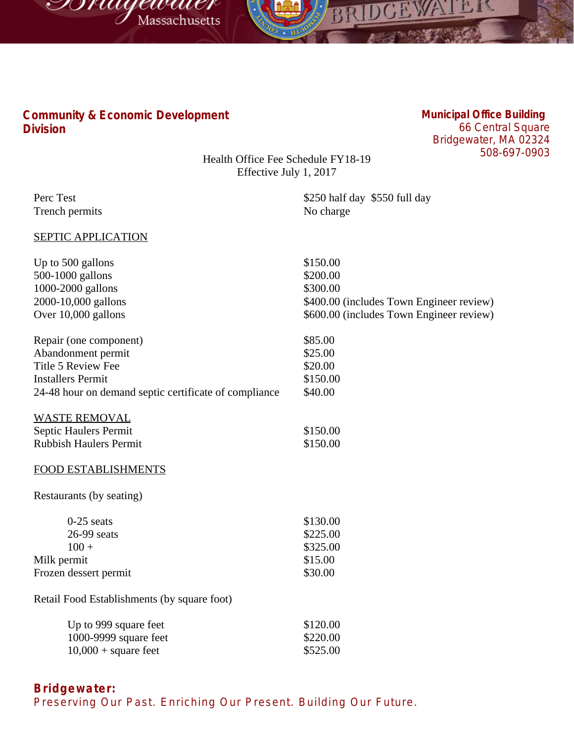



## **Community & Economic Development Division**

## **Municipal Office Building** 66 Central Square Bridgewater, MA 02324

508-697-0903

Health Office Fee Schedule FY18-19 Effective July 1, 2017

| Perc Test                                             | \$250 half day \$550 full day            |
|-------------------------------------------------------|------------------------------------------|
| Trench permits                                        | No charge                                |
| <b>SEPTIC APPLICATION</b>                             |                                          |
| Up to 500 gallons                                     | \$150.00                                 |
| 500-1000 gallons                                      | \$200.00                                 |
| 1000-2000 gallons                                     | \$300.00                                 |
| 2000-10,000 gallons                                   | \$400.00 (includes Town Engineer review) |
| Over 10,000 gallons                                   | \$600.00 (includes Town Engineer review) |
| Repair (one component)                                | \$85.00                                  |
| Abandonment permit                                    | \$25.00                                  |
| Title 5 Review Fee                                    | \$20.00                                  |
| <b>Installers Permit</b>                              | \$150.00                                 |
| 24-48 hour on demand septic certificate of compliance | \$40.00                                  |
| <b>WASTE REMOVAL</b>                                  |                                          |
| Septic Haulers Permit                                 | \$150.00                                 |
| <b>Rubbish Haulers Permit</b>                         | \$150.00                                 |
| <b>FOOD ESTABLISHMENTS</b>                            |                                          |
| Restaurants (by seating)                              |                                          |
| $0-25$ seats                                          | \$130.00                                 |
| 26-99 seats                                           | \$225.00                                 |
| $100 +$                                               | \$325.00                                 |
| Milk permit                                           | \$15.00                                  |
| Frozen dessert permit                                 | \$30.00                                  |
| Retail Food Establishments (by square foot)           |                                          |
| Up to 999 square feet                                 | \$120.00                                 |
| 1000-9999 square feet                                 | \$220.00                                 |
| $10,000 +$ square feet                                | \$525.00                                 |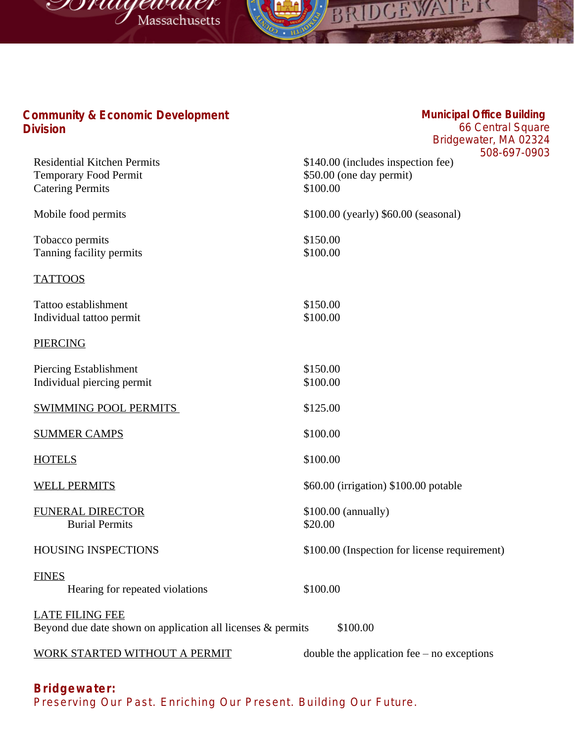



## **Municipal Office Building**

1.1

DGEWA

**BESTERN AT** 

66 Central Square Bridgewater, MA 02324 903

|                                                                                                   | Bridgewater, MA UZ.                                                                     |
|---------------------------------------------------------------------------------------------------|-----------------------------------------------------------------------------------------|
| <b>Residential Kitchen Permits</b><br><b>Temporary Food Permit</b><br><b>Catering Permits</b>     | 508-697-0<br>\$140.00 (includes inspection fee)<br>\$50.00 (one day permit)<br>\$100.00 |
| Mobile food permits                                                                               | \$100.00 (yearly) \$60.00 (seasonal)                                                    |
| Tobacco permits<br>Tanning facility permits                                                       | \$150.00<br>\$100.00                                                                    |
| <b>TATTOOS</b>                                                                                    |                                                                                         |
| Tattoo establishment<br>Individual tattoo permit                                                  | \$150.00<br>\$100.00                                                                    |
| <b>PIERCING</b>                                                                                   |                                                                                         |
| Piercing Establishment<br>Individual piercing permit                                              | \$150.00<br>\$100.00                                                                    |
| <b>SWIMMING POOL PERMITS</b>                                                                      | \$125.00                                                                                |
| <b>SUMMER CAMPS</b>                                                                               | \$100.00                                                                                |
| <b>HOTELS</b>                                                                                     | \$100.00                                                                                |
| <b>WELL PERMITS</b>                                                                               | \$60.00 (irrigation) \$100.00 potable                                                   |
| <b>FUNERAL DIRECTOR</b><br><b>Burial Permits</b>                                                  | $$100.00$ (annually)<br>\$20.00                                                         |
| <b>HOUSING INSPECTIONS</b>                                                                        | \$100.00 (Inspection for license requirement)                                           |
| <b>FINES</b><br>Hearing for repeated violations                                                   | \$100.00                                                                                |
| <b>LATE FILING FEE</b><br>Beyond due date shown on application all licenses & permits<br>\$100.00 |                                                                                         |
| <b>WORK STARTED WITHOUT A PERMIT</b>                                                              | double the application fee $-$ no exceptions                                            |